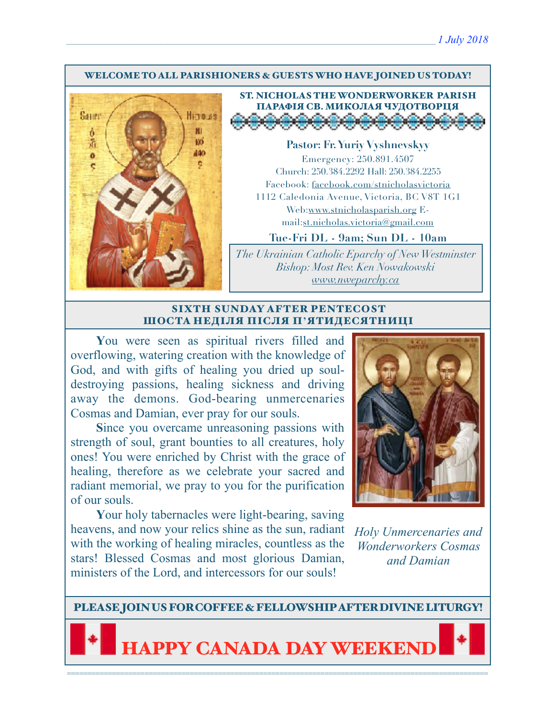#### WELCOME TO ALL PARISHIONERS & GUESTS WHO HAVE JOINED US TODAY!



ST. NICHOLAS THE WONDERWORKER PARISH ПАРАФІЯ СВ. МИКОЛАЯ ЧУДОТВОРЦЯ<br><del>ДО ОФОООООООООО</del>

**Pastor: Fr. Yuriy Vyshnevskyy** Emergency: 250.891.4507 Church: 250.384.2292 Hall: 250.384.2255 Facebook: facebook.com/stnicholasvictoria 1112 Caledonia Avenue, Victoria, BC V8T 1G1 Web[:www.stnicholasparish.org](http://www.stnicholasparish.org) Email:[st.nicholas.victoria@gmail.com](mailto:st.nicholas.victoria@gmail.com)

**Tue-Fri DL - 9am; Sun DL - 10am**

*The Ukrainian Catholic Eparchy of New Westminster Bishop: Most Rev. Ken Nowakowski [www.nweparchy.ca](http://www.nweparchy.ca)*

#### SIXTH SUNDAY AFTER PENTECOST ШОСТА НЕДІЛЯ ПІСЛЯ П**'**ЯТИДЕСЯТНИЦІ

**Y**ou were seen as spiritual rivers filled and overflowing, watering creation with the knowledge of God, and with gifts of healing you dried up souldestroying passions, healing sickness and driving away the demons. God-bearing unmercenaries Cosmas and Damian, ever pray for our souls.

**S**ince you overcame unreasoning passions with strength of soul, grant bounties to all creatures, holy ones! You were enriched by Christ with the grace of healing, therefore as we celebrate your sacred and radiant memorial, we pray to you for the purification of our souls.

**Y**our holy tabernacles were light-bearing, saving heavens, and now your relics shine as the sun, radiant with the working of healing miracles, countless as the stars! Blessed Cosmas and most glorious Damian, ministers of the Lord, and intercessors for our souls!



*Holy Unmercenaries and Wonderworkers Cosmas and Damian*

PLEASE JOIN US FOR COFFEE & FELLOWSHIP AFTER DIVINE LITURGY!

**IAPPY CANADA DAY WEEKE**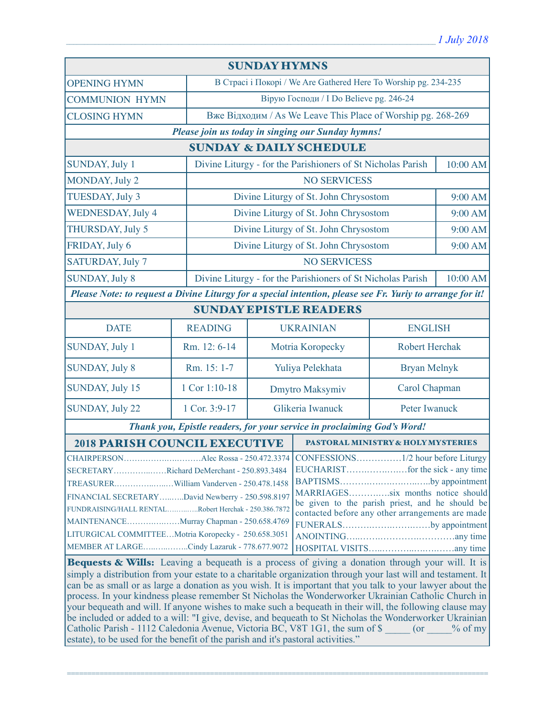| <b>SUNDAY HYMNS</b>                                                                                                                                         |                                    |                                                                         |                                                             |                     |          |  |
|-------------------------------------------------------------------------------------------------------------------------------------------------------------|------------------------------------|-------------------------------------------------------------------------|-------------------------------------------------------------|---------------------|----------|--|
| <b>OPENING HYMN</b>                                                                                                                                         |                                    | В Страсі і Покорі / We Are Gathered Here To Worship pg. 234-235         |                                                             |                     |          |  |
| <b>COMMUNION HYMN</b>                                                                                                                                       |                                    | Вірую Господи / I Do Believe pg. 246-24                                 |                                                             |                     |          |  |
| <b>CLOSING HYMN</b>                                                                                                                                         |                                    | Вже Відходим / As We Leave This Place of Worship pg. 268-269            |                                                             |                     |          |  |
| Please join us today in singing our Sunday hymns!                                                                                                           |                                    |                                                                         |                                                             |                     |          |  |
| <b>SUNDAY &amp; DAILY SCHEDULE</b>                                                                                                                          |                                    |                                                                         |                                                             |                     |          |  |
| <b>SUNDAY, July 1</b>                                                                                                                                       |                                    |                                                                         | Divine Liturgy - for the Parishioners of St Nicholas Parish |                     | 10:00 AM |  |
| MONDAY, July 2                                                                                                                                              |                                    | <b>NO SERVICESS</b>                                                     |                                                             |                     |          |  |
| TUESDAY, July 3                                                                                                                                             |                                    |                                                                         | Divine Liturgy of St. John Chrysostom                       |                     | 9:00 AM  |  |
| <b>WEDNESDAY, July 4</b>                                                                                                                                    |                                    |                                                                         | Divine Liturgy of St. John Chrysostom                       |                     | 9:00 AM  |  |
| <b>THURSDAY, July 5</b>                                                                                                                                     |                                    | Divine Liturgy of St. John Chrysostom                                   |                                                             |                     | 9:00 AM  |  |
| FRIDAY, July 6                                                                                                                                              |                                    |                                                                         | Divine Liturgy of St. John Chrysostom                       |                     | 9:00 AM  |  |
| SATURDAY, July 7                                                                                                                                            |                                    | <b>NO SERVICESS</b>                                                     |                                                             |                     |          |  |
| <b>SUNDAY, July 8</b>                                                                                                                                       |                                    | Divine Liturgy - for the Parishioners of St Nicholas Parish<br>10:00 AM |                                                             |                     |          |  |
| Please Note: to request a Divine Liturgy for a special intention, please see Fr. Yuriy to arrange for it!                                                   |                                    |                                                                         |                                                             |                     |          |  |
| <b>SUNDAY EPISTLE READERS</b>                                                                                                                               |                                    |                                                                         |                                                             |                     |          |  |
| <b>DATE</b>                                                                                                                                                 | <b>READING</b>                     | <b>UKRAINIAN</b>                                                        |                                                             | <b>ENGLISH</b>      |          |  |
| SUNDAY, July 1                                                                                                                                              | Rm. 12: 6-14                       |                                                                         | Motria Koropecky                                            | Robert Herchak      |          |  |
| <b>SUNDAY, July 8</b>                                                                                                                                       | Rm. 15: 1-7                        | Yuliya Pelekhata                                                        |                                                             | <b>Bryan Melnyk</b> |          |  |
| SUNDAY, July 15                                                                                                                                             | 1 Cor 1:10-18                      |                                                                         | Carol Chapman<br>Dmytro Maksymiv                            |                     |          |  |
| SUNDAY, July 22                                                                                                                                             | 1 Cor. 3:9-17                      |                                                                         | Glikeria Iwanuck                                            | Peter Iwanuck       |          |  |
| Thank you, Epistle readers, for your service in proclaiming God's Word!                                                                                     |                                    |                                                                         |                                                             |                     |          |  |
| <b>2018 PARISH COUNCIL EXECUTIVE</b>                                                                                                                        | PASTORAL MINISTRY & HOLY MYSTERIES |                                                                         |                                                             |                     |          |  |
|                                                                                                                                                             |                                    |                                                                         |                                                             |                     |          |  |
| SECRETARYRichard DeMerchant - 250.893.3484                                                                                                                  |                                    |                                                                         |                                                             |                     |          |  |
|                                                                                                                                                             |                                    |                                                                         | BAPTISMSby appointment                                      |                     |          |  |
| MARRIAGESsix months notice should<br>FINANCIAL SECRETARYDavid Newberry - 250.598.8197                                                                       |                                    |                                                                         |                                                             |                     |          |  |
| be given to the parish priest, and he should be<br>FUNDRAISING/HALL RENTALRobert Herchak - 250.386.7872<br>contacted before any other arrangements are made |                                    |                                                                         |                                                             |                     |          |  |
| MAINTENANCEMurray Chapman - 250.658.4769<br>FUNERALSby appointment                                                                                          |                                    |                                                                         |                                                             |                     |          |  |
| LITURGICAL COMMITTEEMotria Koropecky - 250.658.3051                                                                                                         |                                    |                                                                         |                                                             |                     |          |  |
| MEMBER AT LARGECindy Lazaruk - 778.677.9072                                                                                                                 |                                    |                                                                         |                                                             |                     |          |  |
| <b>Bequests &amp; Wills:</b> Leaving a bequeath is a process of giving a donation through your will. It is                                                  |                                    |                                                                         |                                                             |                     |          |  |
| simply a distribution from your estate to a charitable organization through your last will and testament. It                                                |                                    |                                                                         |                                                             |                     |          |  |
| can be as small or as large a donation as you wish. It is important that you talk to your lawyer about the                                                  |                                    |                                                                         |                                                             |                     |          |  |
| process. In your kindness please remember St Nicholas the Wonderworker Ukrainian Catholic Church in                                                         |                                    |                                                                         |                                                             |                     |          |  |
| your bequeath and will. If anyone wishes to make such a bequeath in their will, the following clause may                                                    |                                    |                                                                         |                                                             |                     |          |  |
| be included or added to a will: "I give, devise, and bequeath to St Nicholas the Wonderworker Ukrainian                                                     |                                    |                                                                         |                                                             |                     |          |  |
| Catholic Parish - 1112 Caledonia Avenue, Victoria BC, V8T 1G1, the sum of \$ (or % of my                                                                    |                                    |                                                                         |                                                             |                     |          |  |
| estate), to be used for the benefit of the parish and it's pastoral activities."                                                                            |                                    |                                                                         |                                                             |                     |          |  |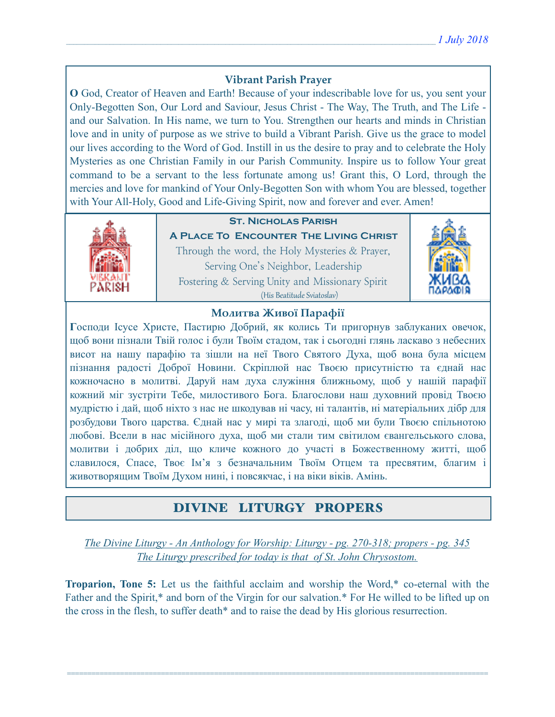# **Vibrant Parish Prayer**

**O** God, Creator of Heaven and Earth! Because of your indescribable love for us, you sent your Only-Begotten Son, Our Lord and Saviour, Jesus Christ - The Way, The Truth, and The Life and our Salvation. In His name, we turn to You. Strengthen our hearts and minds in Christian love and in unity of purpose as we strive to build a Vibrant Parish. Give us the grace to model our lives according to the Word of God. Instill in us the desire to pray and to celebrate the Holy Mysteries as one Christian Family in our Parish Community. Inspire us to follow Your great command to be a servant to the less fortunate among us! Grant this, O Lord, through the mercies and love for mankind of Your Only-Begotten Son with whom You are blessed, together with Your All-Holy, Good and Life-Giving Spirit, now and forever and ever. Amen!



## **St. Nicholas Parish**

**A Place To Encounter The Living Christ** Through the word, the Holy Mysteries & Prayer, Serving One's Neighbor, Leadership Fostering & Serving Unity and Missionary Spirit (His Beatitude Sviatoslav)



## **Молитва Живої Парафії**

**Г**осподи Ісусе Христе, Пастирю Добрий, як колись Ти пригорнув заблуканих овечок, щоб вони пізнали Твій голос і були Твоїм стадом, так і сьогодні глянь ласкаво з небесних висот на нашу парафію та зішли на неї Твого Святого Духа, щоб вона була місцем пізнання радості Доброї Новини. Скріплюй нас Твоєю присутністю та єднай нас кожночасно в молитві. Даруй нам духа служіння ближньому, щоб у нашій парафії кожний міг зустріти Тебе, милостивого Бога. Благослови наш духовний провід Твоєю мудрістю і дай, щоб ніхто з нас не шкодував ні часу, ні талантів, ні матеріальних дібр для розбудови Твого царства. Єднай нас у мирі та злагоді, щоб ми були Твоєю спільнотою любові. Всели в нас місійного духа, щоб ми стали тим світилом євангельського слова, молитви і добрих діл, що кличе кожного до участі в Божественному житті, щоб славилося, Спасе, Твоє Ім'я з безначальним Твоїм Отцем та пресвятим, благим і животворящим Твоїм Духом нині, і повсякчас, і на віки віків. Амінь.

# DIVINE LITURGY PROPERS

*The Divine Liturgy - An Anthology for Worship: Liturgy - pg. 270-318; propers - pg. 345 The Liturgy prescribed for today is that of St. John Chrysostom.* 

**Troparion, Tone 5:** Let us the faithful acclaim and worship the Word,\* co-eternal with the Father and the Spirit,\* and born of the Virgin for our salvation.\* For He willed to be lifted up on the cross in the flesh, to suffer death\* and to raise the dead by His glorious resurrection.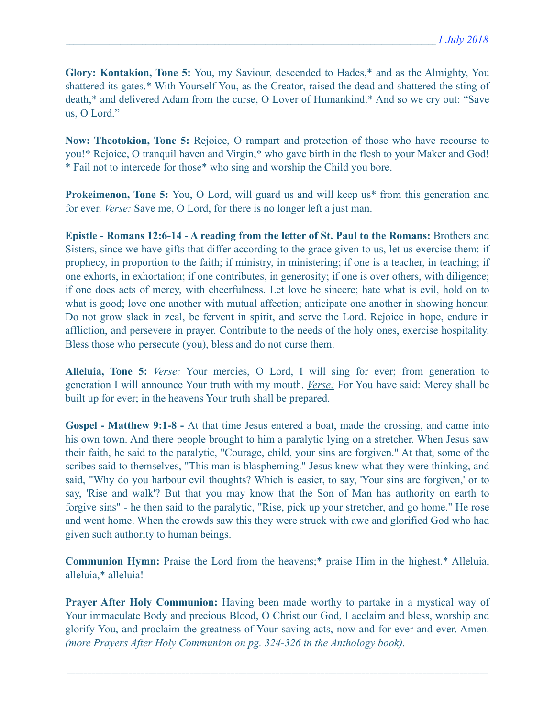**Glory: Kontakion, Tone 5:** You, my Saviour, descended to Hades,\* and as the Almighty, You shattered its gates.\* With Yourself You, as the Creator, raised the dead and shattered the sting of death,\* and delivered Adam from the curse, O Lover of Humankind.\* And so we cry out: "Save us, O Lord."

**Now: Theotokion, Tone 5:** Rejoice, O rampart and protection of those who have recourse to you!\* Rejoice, O tranquil haven and Virgin,\* who gave birth in the flesh to your Maker and God! \* Fail not to intercede for those\* who sing and worship the Child you bore.

**Prokeimenon, Tone 5:** You, O Lord, will guard us and will keep us<sup>\*</sup> from this generation and for ever. *Verse:* Save me, O Lord, for there is no longer left a just man.

**Epistle - Romans 12:6-14 - A reading from the letter of St. Paul to the Romans:** Brothers and Sisters, since we have gifts that differ according to the grace given to us, let us exercise them: if prophecy, in proportion to the faith; if ministry, in ministering; if one is a teacher, in teaching; if one exhorts, in exhortation; if one contributes, in generosity; if one is over others, with diligence; if one does acts of mercy, with cheerfulness. Let love be sincere; hate what is evil, hold on to what is good; love one another with mutual affection; anticipate one another in showing honour. Do not grow slack in zeal, be fervent in spirit, and serve the Lord. Rejoice in hope, endure in affliction, and persevere in prayer. Contribute to the needs of the holy ones, exercise hospitality. Bless those who persecute (you), bless and do not curse them.

**Alleluia, Tone 5:** *Verse:* Your mercies, O Lord, I will sing for ever; from generation to generation I will announce Your truth with my mouth. *Verse:* For You have said: Mercy shall be built up for ever; in the heavens Your truth shall be prepared.

**Gospel - Matthew 9:1-8 -** At that time Jesus entered a boat, made the crossing, and came into his own town. And there people brought to him a paralytic lying on a stretcher. When Jesus saw their faith, he said to the paralytic, "Courage, child, your sins are forgiven." At that, some of the scribes said to themselves, "This man is blaspheming." Jesus knew what they were thinking, and said, "Why do you harbour evil thoughts? Which is easier, to say, 'Your sins are forgiven,' or to say, 'Rise and walk'? But that you may know that the Son of Man has authority on earth to forgive sins" - he then said to the paralytic, "Rise, pick up your stretcher, and go home." He rose and went home. When the crowds saw this they were struck with awe and glorified God who had given such authority to human beings.

**Communion Hymn:** Praise the Lord from the heavens;\* praise Him in the highest.\* Alleluia, alleluia,\* alleluia!

**Prayer After Holy Communion:** Having been made worthy to partake in a mystical way of Your immaculate Body and precious Blood, O Christ our God, I acclaim and bless, worship and glorify You, and proclaim the greatness of Your saving acts, now and for ever and ever. Amen. *(more Prayers After Holy Communion on pg. 324-326 in the Anthology book).*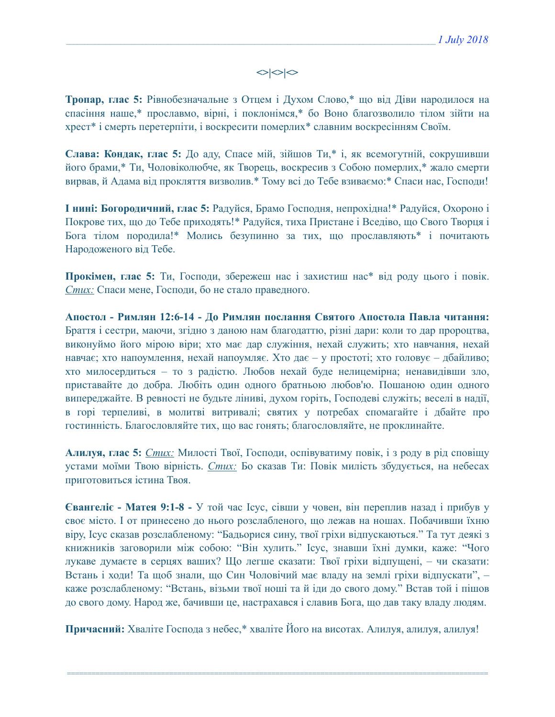# $\left| \diamond \right| \diamond \left| \diamond \right|$

**Тропар, глас 5:** Рівнобезначальне з Отцем і Духом Слово,\* що від Діви народилося на спасіння наше,\* прославмо, вірні, і поклонімся,\* бо Воно благозволило тілом зійти на хрест\* і смерть перетерпіти, і воскресити померлих\* славним воскресінням Своїм.

**Слава: Кондак, глас 5:** До аду, Спасе мій, зійшов Ти,\* і, як всемогутній, сокрушивши його брами,\* Ти, Чоловіколюбче, як Творець, воскресив з Собою померлих,\* жало смерти вирвав, й Адама від прокляття визволив.\* Тому всі до Тебе взиваємо:\* Спаси нас, Господи!

**І нині: Богородичний, глас 5:** Радуйся, Брамо Господня, непрохідна!\* Радуйся, Охороно і Покрове тих, що до Тебе приходять!\* Радуйся, тиха Пристане і Вседіво, що Свого Творця і Бога тілом породила!\* Молись безупинно за тих, що прославляють\* і почитають Народоженого від Тебе.

**Прокімен, глас 5:** Ти, Господи, збережеш нас і захистиш нас\* від роду цього і повік. *Стих:* Спаси мене, Господи, бо не стало праведного.

**Апостол - Римлян 12:6-14 - До Римлян послання Святого Апостола Павла читання:** Браття і сестри, маючи, згідно з даною нам благодаттю, різні дари: коли то дар пророцтва, виконуймо його мірою віри; хто має дар служіння, нехай служить; хто навчання, нехай навчає; хто напоумлення, нехай напоумляє. Хто дає – у простоті; хто головує – дбайливо; хто милосердиться – то з радістю. Любов нехай буде нелицемірна; ненавидівши зло, приставайте до добра. Любіть один одного братньою любов'ю. Пошаною один одного випереджайте. В ревності не будьте ліниві, духом горіть, Господеві служіть; веселі в надії, в горі терпеливі, в молитві витривалі; святих у потребах спомагайте і дбайте про гостинність. Благословляйте тих, що вас гонять; благословляйте, не проклинайте.

**Алилуя, глас 5:** *Стих:* Милості Твої, Господи, оспівуватиму повік, і з роду в рід сповіщу устами моїми Твою вірність. *Стих:* Бо сказав Ти: Повік милість збудується, на небесах приготовиться істина Твоя.

**Євангеліє - Матея 9:1-8 -** У той час Ісус, сівши у човен, він переплив назад і прибув у своє місто. І от принесено до нього розслабленого, що лежав на ношах. Побачивши їхню віру, Ісус сказав розслабленому: "Бадьорися сину, твої гріхи відпускаються." Та тут деякі з книжників заговорили між собою: "Він хулить." Ісус, знавши їхні думки, каже: "Чого лукаве думаєте в серцях ваших? Що легше сказати: Твої гріхи відпущені, – чи сказати: Встань і ходи! Та щоб знали, що Син Чоловічий має владу на землі гріхи відпускати", – каже розслабленому: "Встань, візьми твої ноші та й іди до свого дому." Встав той і пішов до свого дому. Народ же, бачивши це, настрахався і славив Бога, що дав таку владу людям.

**Причасний:** Хваліте Господа з небес,\* хваліте Його на висотах. Алилуя, алилуя, алилуя!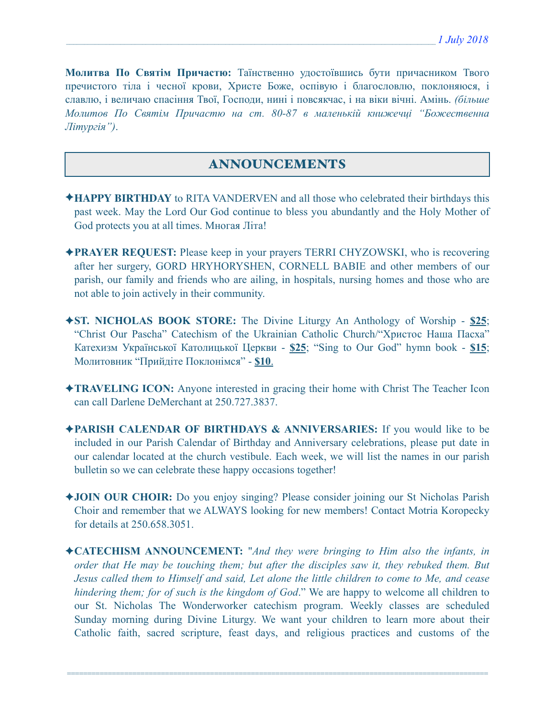**Молитва По Святім Причастю:** Таїнственно удостоївшись бути причасником Твого пречистого тіла і чесної крови, Христе Боже, оспівую і благословлю, поклоняюся, і славлю, і величаю спасіння Твої, Господи, нині і повсякчас, і на віки вічні. Амінь. *(більше Молитов По Святім Причастю на ст. 80-87 в маленькій книжечці "Божественна Літургія")*.

# ANNOUNCEMENTS

- ✦**HAPPY BIRTHDAY** to RITA VANDERVEN and all those who celebrated their birthdays this past week. May the Lord Our God continue to bless you abundantly and the Holy Mother of God protects you at all times. Многая Літа!
- ✦**PRAYER REQUEST:** Please keep in your prayers TERRI CHYZOWSKI, who is recovering after her surgery, GORD HRYHORYSHEN, CORNELL BABIE and other members of our parish, our family and friends who are ailing, in hospitals, nursing homes and those who are not able to join actively in their community.
- ✦**ST. NICHOLAS BOOK STORE:** The Divine Liturgy An Anthology of Worship **\$25**; "Christ Our Pascha" Catechism of the Ukrainian Catholic Church/"Христос Наша Пасха" Катехизм Української Католицької Церкви - **\$25**; "Sing to Our God" hymn book - **\$15**; Молитовник "Прийдіте Поклонімся" - **\$10**.
- ✦**TRAVELING ICON:** Anyone interested in gracing their home with Christ The Teacher Icon can call Darlene DeMerchant at 250.727.3837.
- ✦**PARISH CALENDAR OF BIRTHDAYS & ANNIVERSARIES:** If you would like to be included in our Parish Calendar of Birthday and Anniversary celebrations, please put date in our calendar located at the church vestibule. Each week, we will list the names in our parish bulletin so we can celebrate these happy occasions together!
- ✦**JOIN OUR CHOIR:** Do you enjoy singing? Please consider joining our St Nicholas Parish Choir and remember that we ALWAYS looking for new members! Contact Motria Koropecky for details at 250.658.3051.
- ✦**CATECHISM ANNOUNCEMENT:** "*And they were bringing to Him also the infants, in order that He may be touching them; but after the disciples saw it, they rebuked them. But Jesus called them to Himself and said, Let alone the little children to come to Me, and cease hindering them; for of such is the kingdom of God*." We are happy to welcome all children to our St. Nicholas The Wonderworker catechism program. Weekly classes are scheduled Sunday morning during Divine Liturgy. We want your children to learn more about their Catholic faith, sacred scripture, feast days, and religious practices and customs of the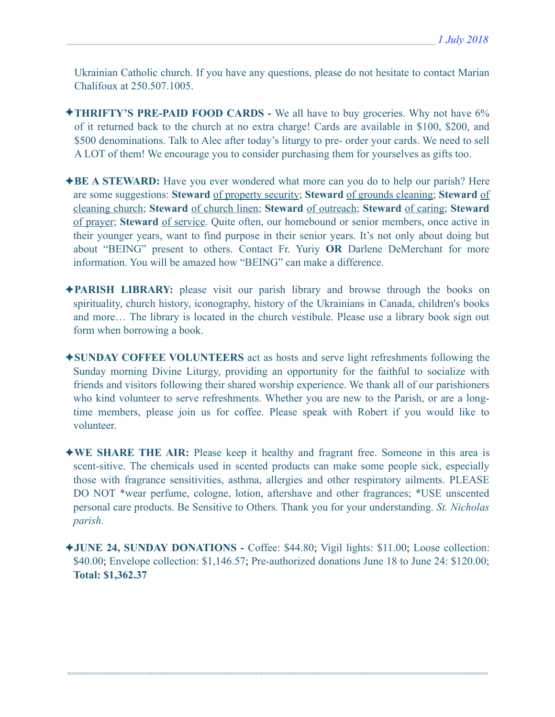Ukrainian Catholic church. If you have any questions, please do not hesitate to contact Marian Chalifoux at 250.507.1005.

- ✦**THRIFTY'S PRE-PAID FOOD CARDS** We all have to buy groceries. Why not have 6% of it returned back to the church at no extra charge! Cards are available in \$100, \$200, and \$500 denominations. Talk to Alec after today's liturgy to pre- order your cards. We need to sell A LOT of them! We encourage you to consider purchasing them for yourselves as gifts too.
- ✦**BE A STEWARD:** Have you ever wondered what more can you do to help our parish? Here are some suggestions: **Steward** of property security; **Steward** of grounds cleaning; **Steward** of cleaning church; **Steward** of church linen; **Steward** of outreach; **Steward** of caring; **Steward** of prayer; **Steward** of service. Quite often, our homebound or senior members, once active in their younger years, want to find purpose in their senior years. It's not only about doing but about "BEING" present to others. Contact Fr. Yuriy **OR** Darlene DeMerchant for more information. You will be amazed how "BEING" can make a difference.
- ✦**PARISH LIBRARY:** please visit our parish library and browse through the books on spirituality, church history, iconography, history of the Ukrainians in Canada, children's books and more… The library is located in the church vestibule. Please use a library book sign out form when borrowing a book.
- ✦**SUNDAY COFFEE VOLUNTEERS** act as hosts and serve light refreshments following the Sunday morning Divine Liturgy, providing an opportunity for the faithful to socialize with friends and visitors following their shared worship experience. We thank all of our parishioners who kind volunteer to serve refreshments. Whether you are new to the Parish, or are a longtime members, please join us for coffee. Please speak with Robert if you would like to volunteer.
- ✦**WE SHARE THE AIR:** Please keep it healthy and fragrant free. Someone in this area is scent-sitive. The chemicals used in scented products can make some people sick, especially those with fragrance sensitivities, asthma, allergies and other respiratory ailments. PLEASE DO NOT \*wear perfume, cologne, lotion, aftershave and other fragrances; \*USE unscented personal care products. Be Sensitive to Others. Thank you for your understanding. *St. Nicholas parish.*
- ✦**JUNE 24, SUNDAY DONATIONS** Coffee: \$44.80; Vigil lights: \$11.00; Loose collection: \$40.00; Envelope collection: \$1,146.57; Pre-authorized donations June 18 to June 24: \$120.00; **Total: \$1,362.37**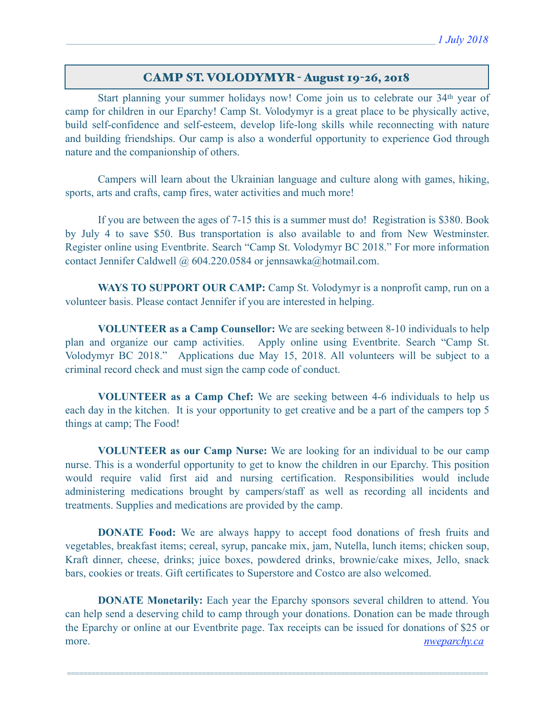## CAMP ST. VOLODYMYR - August 19-26, 2018

 Start planning your summer holidays now! Come join us to celebrate our 34th year of camp for children in our Eparchy! Camp St. Volodymyr is a great place to be physically active, build self-confidence and self-esteem, develop life-long skills while reconnecting with nature and building friendships. Our camp is also a wonderful opportunity to experience God through nature and the companionship of others.

 Campers will learn about the Ukrainian language and culture along with games, hiking, sports, arts and crafts, camp fires, water activities and much more!

 If you are between the ages of 7-15 this is a summer must do! Registration is \$380. Book by July 4 to save \$50. Bus transportation is also available to and from New Westminster. Register online using Eventbrite. Search "Camp St. Volodymyr BC 2018." For more information contact Jennifer Caldwell @ 604.220.0584 or [jennsawka@hotmail.com.](mailto:jennsawka@hotmail.com)

**WAYS TO SUPPORT OUR CAMP:** Camp St. Volodymyr is a nonprofit camp, run on a volunteer basis. Please contact Jennifer if you are interested in helping.

**VOLUNTEER as a Camp Counsellor:** We are seeking between 8-10 individuals to help plan and organize our camp activities. Apply online using Eventbrite. Search "Camp St. Volodymyr BC 2018." Applications due May 15, 2018. All volunteers will be subject to a criminal record check and must sign the camp code of conduct.

**VOLUNTEER as a Camp Chef:** We are seeking between 4-6 individuals to help us each day in the kitchen. It is your opportunity to get creative and be a part of the campers top 5 things at camp; The Food!

**VOLUNTEER as our Camp Nurse:** We are looking for an individual to be our camp nurse. This is a wonderful opportunity to get to know the children in our Eparchy. This position would require valid first aid and nursing certification. Responsibilities would include administering medications brought by campers/staff as well as recording all incidents and treatments. Supplies and medications are provided by the camp.

**DONATE Food:** We are always happy to accept food donations of fresh fruits and vegetables, breakfast items; cereal, syrup, pancake mix, jam, Nutella, lunch items; chicken soup, Kraft dinner, cheese, drinks; juice boxes, powdered drinks, brownie/cake mixes, Jello, snack bars, cookies or treats. Gift certificates to Superstore and Costco are also welcomed.

 **DONATE Monetarily:** Each year the Eparchy sponsors several children to attend. You can help send a deserving child to camp through your donations. Donation can be made through the Eparchy or online at our Eventbrite page. Tax receipts can be issued for donations of \$25 or more. *[nweparchy.ca](http://nweparchy.ca)*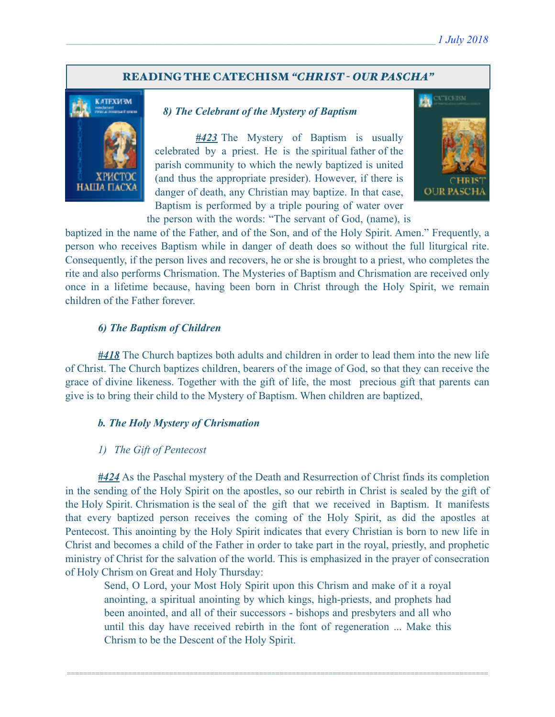## READING THE CATECHISM *"CHRIST - OUR PASCHA"*



## *8) The Celebrant of the Mystery of Baptism*

 *#423* The Mystery of Baptism is usually celebrated by a priest. He is the spiritual father of the parish community to which the newly baptized is united (and thus the appropriate presider). However, if there is danger of death, any Christian may baptize. In that case, Baptism is performed by a triple pouring of water over the person with the words: "The servant of God, (name), is



baptized in the name of the Father, and of the Son, and of the Holy Spirit. Amen." Frequently, a person who receives Baptism while in danger of death does so without the full liturgical rite. Consequently, if the person lives and recovers, he or she is brought to a priest, who completes the rite and also performs Chrismation. The Mysteries of Baptism and Chrismation are received only once in a lifetime because, having been born in Christ through the Holy Spirit, we remain children of the Father forever.

### *6) The Baptism of Children*

*#418* The Church baptizes both adults and children in order to lead them into the new life of Christ. The Church baptizes children, bearers of the image of God, so that they can receive the grace of divine likeness. Together with the gift of life, the most precious gift that parents can give is to bring their child to the Mystery of Baptism. When children are baptized,

#### *b. The Holy Mystery of Chrismation*

#### *1) The Gift of Pentecost*

*#424* As the Paschal mystery of the Death and Resurrection of Christ finds its completion in the sending of the Holy Spirit on the apostles, so our rebirth in Christ is sealed by the gift of the Holy Spirit. Chrismation is the seal of the gift that we received in Baptism. It manifests that every baptized person receives the coming of the Holy Spirit, as did the apostles at Pentecost. This anointing by the Holy Spirit indicates that every Christian is born to new life in Christ and becomes a child of the Father in order to take part in the royal, priestly, and prophetic ministry of Christ for the salvation of the world. This is emphasized in the prayer of consecration of Holy Chrism on Great and Holy Thursday:

Send, O Lord, your Most Holy Spirit upon this Chrism and make of it a royal anointing, a spiritual anointing by which kings, high-priests, and prophets had been anointed, and all of their successors - bishops and presbyters and all who until this day have received rebirth in the font of regeneration ... Make this Chrism to be the Descent of the Holy Spirit.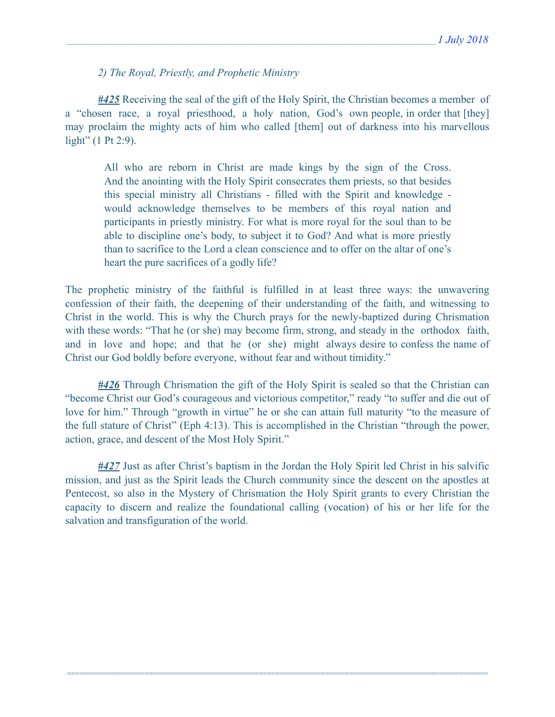*2) The Royal, Priestly, and Prophetic Ministry* 

*#425* Receiving the seal of the gift of the Holy Spirit, the Christian becomes a member of a "chosen race, a royal priesthood, a holy nation, God's own people, in order that [they] may proclaim the mighty acts of him who called [them] out of darkness into his marvellous light" (1 Pt 2:9).

All who are reborn in Christ are made kings by the sign of the Cross. And the anointing with the Holy Spirit consecrates them priests, so that besides this special ministry all Christians - filled with the Spirit and knowledge would acknowledge themselves to be members of this royal nation and participants in priestly ministry. For what is more royal for the soul than to be able to discipline one's body, to subject it to God? And what is more priestly than to sacrifice to the Lord a clean conscience and to offer on the altar of one's heart the pure sacrifices of a godly life?

The prophetic ministry of the faithful is fulfilled in at least three ways: the unwavering confession of their faith, the deepening of their understanding of the faith, and witnessing to Christ in the world. This is why the Church prays for the newly-baptized during Chrismation with these words: "That he (or she) may become firm, strong, and steady in the orthodox faith, and in love and hope; and that he (or she) might always desire to confess the name of Christ our God boldly before everyone, without fear and without timidity."

*#426* Through Chrismation the gift of the Holy Spirit is sealed so that the Christian can "become Christ our God's courageous and victorious competitor," ready "to suffer and die out of love for him." Through "growth in virtue" he or she can attain full maturity "to the measure of the full stature of Christ" (Eph 4:13). This is accomplished in the Christian "through the power, action, grace, and descent of the Most Holy Spirit."

*#427* Just as after Christ's baptism in the Jordan the Holy Spirit led Christ in his salvific mission, and just as the Spirit leads the Church community since the descent on the apostles at Pentecost, so also in the Mystery of Chrismation the Holy Spirit grants to every Christian the capacity to discern and realize the foundational calling (vocation) of his or her life for the salvation and transfiguration of the world.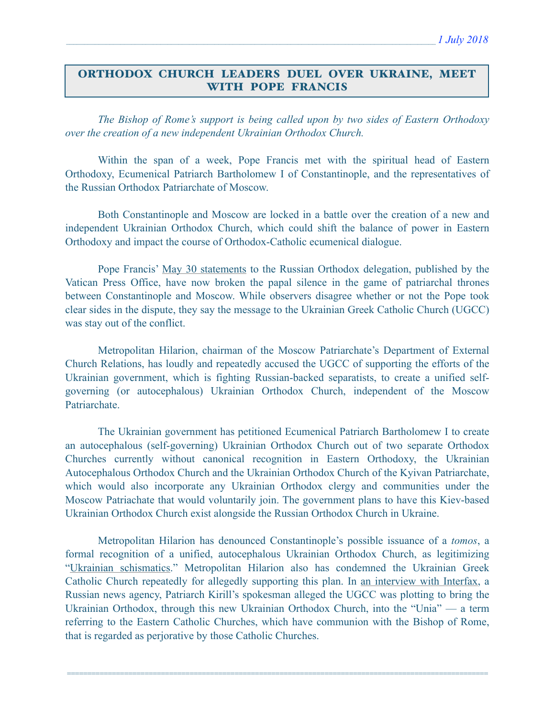## ORTHODOX CHURCH LEADERS DUEL OVER UKRAINE, MEET WITH POPE FRANCIS

 *The Bishop of Rome's support is being called upon by two sides of Eastern Orthodoxy over the creation of a new independent Ukrainian Orthodox Church.* 

 Within the span of a week, Pope Francis met with the spiritual head of Eastern Orthodoxy, Ecumenical Patriarch Bartholomew I of Constantinople, and the representatives of the Russian Orthodox Patriarchate of Moscow.

 Both Constantinople and Moscow are locked in a battle over the creation of a new and independent Ukrainian Orthodox Church, which could shift the balance of power in Eastern Orthodoxy and impact the course of Orthodox-Catholic ecumenical dialogue.

 Pope Francis' [May 30 statements](http://press.vatican.va/content/salastampa/en/bollettino/pubblico/2018/06/02/180602b.html) to the Russian Orthodox delegation, published by the Vatican Press Office, have now broken the papal silence in the game of patriarchal thrones between Constantinople and Moscow. While observers disagree whether or not the Pope took clear sides in the dispute, they say the message to the Ukrainian Greek Catholic Church (UGCC) was stay out of the conflict.

 Metropolitan Hilarion, chairman of the Moscow Patriarchate's Department of External Church Relations, has loudly and repeatedly accused the UGCC of supporting the efforts of the Ukrainian government, which is fighting Russian-backed separatists, to create a unified selfgoverning (or autocephalous) Ukrainian Orthodox Church, independent of the Moscow Patriarchate.

 The Ukrainian government has petitioned Ecumenical Patriarch Bartholomew I to create an autocephalous (self-governing) Ukrainian Orthodox Church out of two separate Orthodox Churches currently without canonical recognition in Eastern Orthodoxy, the Ukrainian Autocephalous Orthodox Church and the Ukrainian Orthodox Church of the Kyivan Patriarchate, which would also incorporate any Ukrainian Orthodox clergy and communities under the Moscow Patriachate that would voluntarily join. The government plans to have this Kiev-based Ukrainian Orthodox Church exist alongside the Russian Orthodox Church in Ukraine.

 Metropolitan Hilarion has denounced Constantinople's possible issuance of a *tomos*, a formal recognition of a unified, autocephalous Ukrainian Orthodox Church, as legitimizing ["Ukrainian schismatics.](http://www.interfax-religion.com/?act=news&div=14335)" Metropolitan Hilarion also has condemned the Ukrainian Greek Catholic Church repeatedly for allegedly supporting this plan. In [an interview with Interfax](http://www.interfax-religion.com/?act=interview&div=115), a Russian news agency, Patriarch Kirill's spokesman alleged the UGCC was plotting to bring the Ukrainian Orthodox, through this new Ukrainian Orthodox Church, into the "Unia" — a term referring to the Eastern Catholic Churches, which have communion with the Bishop of Rome, that is regarded as perjorative by those Catholic Churches.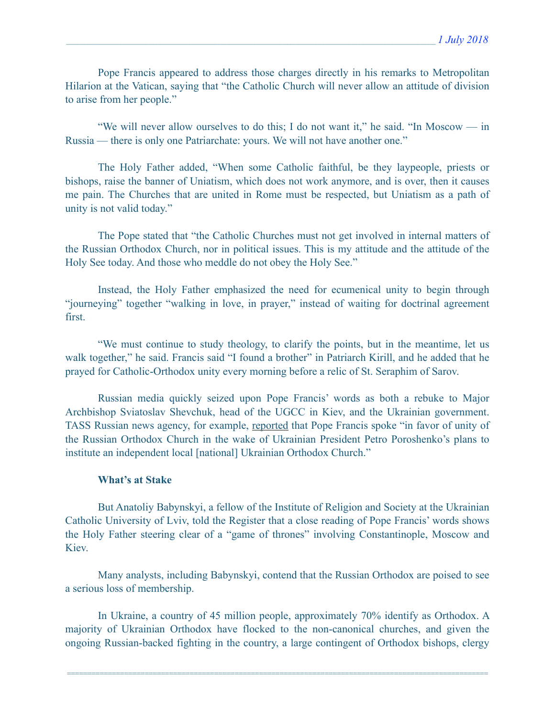Pope Francis appeared to address those charges directly in his remarks to Metropolitan Hilarion at the Vatican, saying that "the Catholic Church will never allow an attitude of division to arise from her people."

 "We will never allow ourselves to do this; I do not want it," he said. "In Moscow — in Russia — there is only one Patriarchate: yours. We will not have another one."

 The Holy Father added, "When some Catholic faithful, be they laypeople, priests or bishops, raise the banner of Uniatism, which does not work anymore, and is over, then it causes me pain. The Churches that are united in Rome must be respected, but Uniatism as a path of unity is not valid today."

 The Pope stated that "the Catholic Churches must not get involved in internal matters of the Russian Orthodox Church, nor in political issues. This is my attitude and the attitude of the Holy See today. And those who meddle do not obey the Holy See."

 Instead, the Holy Father emphasized the need for ecumenical unity to begin through "journeying" together "walking in love, in prayer," instead of waiting for doctrinal agreement first.

 "We must continue to study theology, to clarify the points, but in the meantime, let us walk together," he said. Francis said "I found a brother" in Patriarch Kirill, and he added that he prayed for Catholic-Orthodox unity every morning before a relic of St. Seraphim of Sarov.

 Russian media quickly seized upon Pope Francis' words as both a rebuke to Major Archbishop Sviatoslav Shevchuk, head of the UGCC in Kiev, and the Ukrainian government. TASS Russian news agency, for example, [reported](http://tass.com/society/1007457) that Pope Francis spoke "in favor of unity of the Russian Orthodox Church in the wake of Ukrainian President Petro Poroshenko's plans to institute an independent local [national] Ukrainian Orthodox Church."

## **What's at Stake**

 But Anatoliy Babynskyi, a fellow of the Institute of Religion and Society at the Ukrainian Catholic University of Lviv, told the Register that a close reading of Pope Francis' words shows the Holy Father steering clear of a "game of thrones" involving Constantinople, Moscow and **Kiev.** 

 Many analysts, including Babynskyi, contend that the Russian Orthodox are poised to see a serious loss of membership.

 In Ukraine, a country of 45 million people, approximately 70% identify as Orthodox. A majority of Ukrainian Orthodox have flocked to the non-canonical churches, and given the ongoing Russian-backed fighting in the country, a large contingent of Orthodox bishops, clergy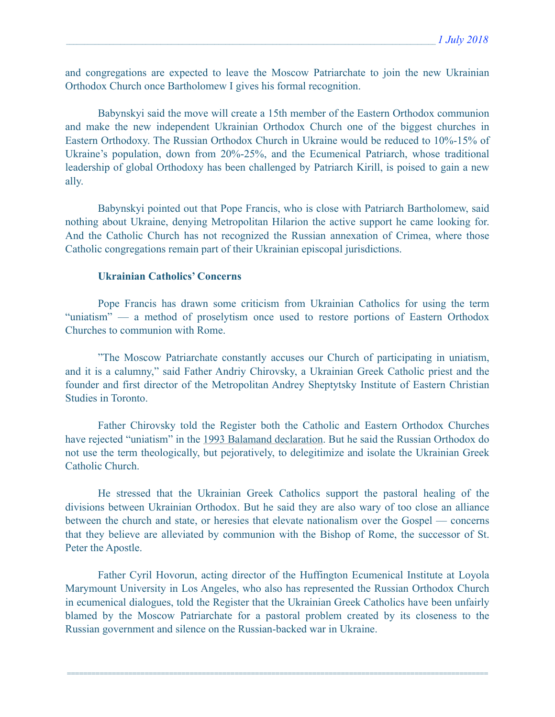and congregations are expected to leave the Moscow Patriarchate to join the new Ukrainian Orthodox Church once Bartholomew I gives his formal recognition.

 Babynskyi said the move will create a 15th member of the Eastern Orthodox communion and make the new independent Ukrainian Orthodox Church one of the biggest churches in Eastern Orthodoxy. The Russian Orthodox Church in Ukraine would be reduced to 10%-15% of Ukraine's population, down from 20%-25%, and the Ecumenical Patriarch, whose traditional leadership of global Orthodoxy has been challenged by Patriarch Kirill, is poised to gain a new ally.

 Babynskyi pointed out that Pope Francis, who is close with Patriarch Bartholomew, said nothing about Ukraine, denying Metropolitan Hilarion the active support he came looking for. And the Catholic Church has not recognized the Russian annexation of Crimea, where those Catholic congregations remain part of their Ukrainian episcopal jurisdictions.

## **Ukrainian Catholics' Concerns**

 Pope Francis has drawn some criticism from Ukrainian Catholics for using the term "uniatism" — a method of proselytism once used to restore portions of Eastern Orthodox Churches to communion with Rome.

 "The Moscow Patriarchate constantly accuses our Church of participating in uniatism, and it is a calumny," said Father Andriy Chirovsky, a Ukrainian Greek Catholic priest and the founder and first director of the Metropolitan Andrey Sheptytsky Institute of Eastern Christian Studies in Toronto.

 Father Chirovsky told the Register both the Catholic and Eastern Orthodox Churches have rejected "uniatism" in the [1993 Balamand declaration](http://www.vatican.va/roman_curia/pontifical_councils/chrstuni/ch_orthodox_docs/rc_pc_chrstuni_doc_19930624_lebanon_en.html). But he said the Russian Orthodox do not use the term theologically, but pejoratively, to delegitimize and isolate the Ukrainian Greek Catholic Church.

 He stressed that the Ukrainian Greek Catholics support the pastoral healing of the divisions between Ukrainian Orthodox. But he said they are also wary of too close an alliance between the church and state, or heresies that elevate nationalism over the Gospel — concerns that they believe are alleviated by communion with the Bishop of Rome, the successor of St. Peter the Apostle.

 Father Cyril Hovorun, acting director of the Huffington Ecumenical Institute at Loyola Marymount University in Los Angeles, who also has represented the Russian Orthodox Church in ecumenical dialogues, told the Register that the Ukrainian Greek Catholics have been unfairly blamed by the Moscow Patriarchate for a pastoral problem created by its closeness to the Russian government and silence on the Russian-backed war in Ukraine.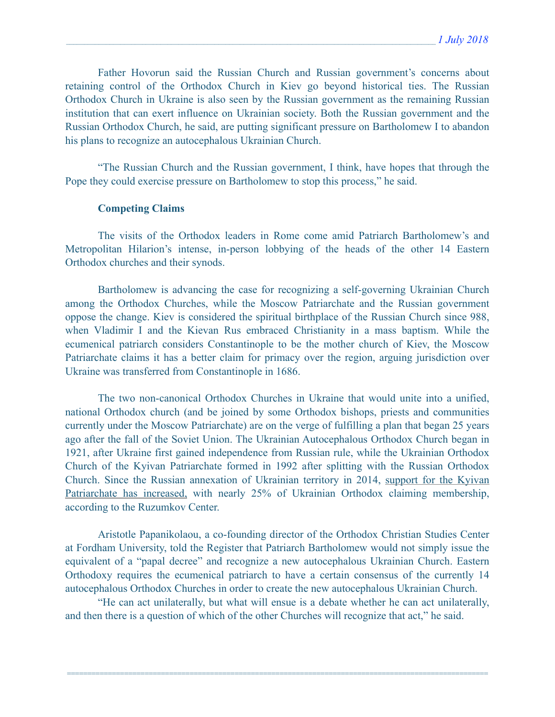Father Hovorun said the Russian Church and Russian government's concerns about retaining control of the Orthodox Church in Kiev go beyond historical ties. The Russian Orthodox Church in Ukraine is also seen by the Russian government as the remaining Russian institution that can exert influence on Ukrainian society. Both the Russian government and the Russian Orthodox Church, he said, are putting significant pressure on Bartholomew I to abandon his plans to recognize an autocephalous Ukrainian Church.

 "The Russian Church and the Russian government, I think, have hopes that through the Pope they could exercise pressure on Bartholomew to stop this process," he said.

#### **Competing Claims**

 The visits of the Orthodox leaders in Rome come amid Patriarch Bartholomew's and Metropolitan Hilarion's intense, in-person lobbying of the heads of the other 14 Eastern Orthodox churches and their synods.

 Bartholomew is advancing the case for recognizing a self-governing Ukrainian Church among the Orthodox Churches, while the Moscow Patriarchate and the Russian government oppose the change. Kiev is considered the spiritual birthplace of the Russian Church since 988, when Vladimir I and the Kievan Rus embraced Christianity in a mass baptism. While the ecumenical patriarch considers Constantinople to be the mother church of Kiev, the Moscow Patriarchate claims it has a better claim for primacy over the region, arguing jurisdiction over Ukraine was transferred from Constantinople in 1686.

 The two non-canonical Orthodox Churches in Ukraine that would unite into a unified, national Orthodox church (and be joined by some Orthodox bishops, priests and communities currently under the Moscow Patriarchate) are on the verge of fulfilling a plan that began 25 years ago after the fall of the Soviet Union. The Ukrainian Autocephalous Orthodox Church began in 1921, after Ukraine first gained independence from Russian rule, while the Ukrainian Orthodox Church of the Kyivan Patriarchate formed in 1992 after splitting with the Russian Orthodox Church. Since the Russian annexation of Ukrainian territory in 2014, [support for the Kyivan](http://www.atlanticcouncil.org/blogs/ukrainealert/ukraine-may-be-getting-its-own-church-but-not-as-fast-as-poroshenko-thinks)  [Patriarchate has increased,](http://www.atlanticcouncil.org/blogs/ukrainealert/ukraine-may-be-getting-its-own-church-but-not-as-fast-as-poroshenko-thinks) with nearly 25% of Ukrainian Orthodox claiming membership, according to the Ruzumkov Center.

 Aristotle Papanikolaou, a co-founding director of the Orthodox Christian Studies Center at Fordham University, told the Register that Patriarch Bartholomew would not simply issue the equivalent of a "papal decree" and recognize a new autocephalous Ukrainian Church. Eastern Orthodoxy requires the ecumenical patriarch to have a certain consensus of the currently 14 autocephalous Orthodox Churches in order to create the new autocephalous Ukrainian Church.

 "He can act unilaterally, but what will ensue is a debate whether he can act unilaterally, and then there is a question of which of the other Churches will recognize that act," he said.